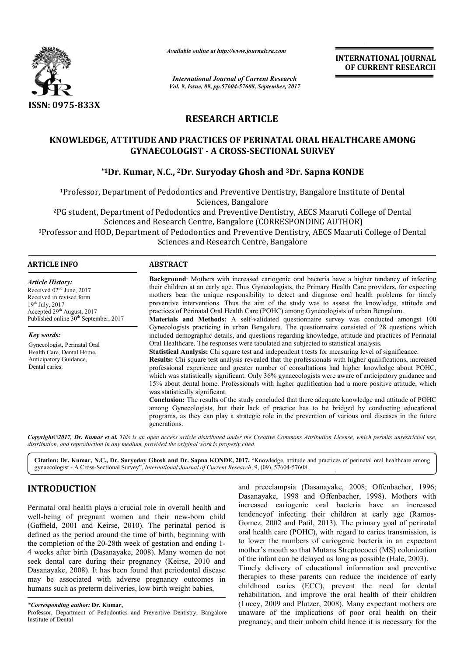

*Available online at http://www.journal http://www.journalcra.com*

*International Journal of Current Research Vol. 9, Issue, 09, pp.57604-57608, September, 2017* **INTERNATIONAL JOURNAL OF CURRENT RESEARCH** 

# **RESEARCH ARTICLE**

# KNOWLEDGE, ATTITUDE AND PRACTICES OF PERINATAL ORAL HEALTHCARE AMONG<br>GYNAECOLOGIST - A CROSS-SECTIONAL SURVEY<br><sup>\*1</sup>Dr. Kumar, N.C., <sup>2</sup>Dr. Suryoday Ghosh and <sup>3</sup>Dr. Sapna KONDE **GYNAECOLOGIST - A CROSS-SECTIONAL SURVEY**

# **\*1Dr. Kumar, N.C C., 2Dr. Suryoday Ghosh and 3Dr. Sapna KONDE**

1Professor, Department of Pedodontics and Preventive Dentistry, Bangalore Institute of Dental Professor, Sciences, Bangalore Department of Pedodontics and Preventive Dentistry, Bangalore Institute of Dental<br>Sciences, Bangalore<br>Department of Pedodontics and Preventive Dentistry, AECS Maaruti College of Denta

2PG student, Department of Pedodontics and Preventive Dentistry, AECS Maaruti College of Dental PG (CORRESPONDING AUTHOR) Sciences and Research Centre, Bangalore (CORRESPONDING AUTHOR) Sciences and Research Centre, Bangalore (CORRESPONDING AUTHOR)<br>Professor and HOD, Department of Pedodontics and Preventive Dentistry, AECS Maaruti College of Dental

Sciences and Research Centre, Bangalore

#### **ARTICLE INFO ABSTRACT**

*Article History:* Received 02<sup>nd</sup> June, 2017 Received in revised form 19th July, 2017 Accepted  $29<sup>th</sup>$  August, 2017 Published online  $30<sup>th</sup>$  September, 2017

*Key words:*

Gynecologist, Perinatal Oral Health Care, Dental Home, Anticipatory Guidance, Dental caries.

**Background** : Mothers with increased cariogenic oral bacteria have a higher tendancy of infecting their children at an early age. Thus Gynecologists, the Primary Health Care providers, for expecting mothers bear the unique responsibility to detect and diagnose oral health problems for timely preventive interventions. Thus the aim of the study was to assess the knowledge, attitude and Background: Mothers with increased cariogenic oral bacteria have a higher tendancy of their children at an early age. Thus Gynecologists, the Primary Health Care providers, for mothers bear the unique responsibility to det

Materials and Methods: A self-validated questionnaire survey was conducted amongst 100 Gynecologists practicing in urban Bengaluru. The questionnaire consisted of 28 questions which included demographic details, and questions regarding knowledge, attitude and practices of Perinatal Oral Healthcare. The responses were tabulated and subjected to statistical analysis. Gynecologists practicing in urban Bengaluru. The questionnaire consisted of 28 questions included demographic details, and questions regarding knowledge, attitude and practices of Pe Oral Healthcare. The responses were tab

**Statistical Analysis:** Chi square test and independent t tests for measuring level of significance. **Results:** Chi square test analysis revealed that the professionals with higher qualifications, increased professional experience and greater number of consultations had higher knowledge about POHC, which was statistically significant. Only 36% gynaecologists were aware of anticipatory guidance and Results: Chi square test analysis revealed that the professionals with higher qualifications, increased professional experience and greater number of consultations had higher knowledge about POHC, which was statistically s was statistically significant.

**Conclusion:** The results of the study concluded that there adequate knowledge and attitude of POHC among Gynecologists, but their lack of practice has to be bridged by conducting educational programs, as they can play a strategic role in the prevention of various oral diseases in the future generations. **Conclusion:** The results of the study concluded that there adequate knowledge and attitude of POHC among Gynecologists, but their lack of practice has to be bridged by conducting educational programs, as they can play a s

Copyright©2017, Dr. Kumar et al. This is an open access article distributed under the Creative Commons Attribution License, which permits unrestricted use, *distribution, and reproduction in any medium, provided the original work is properly cited.*

Citation: Dr. Kumar, N.C., Dr. Suryoday Ghosh and Dr. Sapna KONDE, 2017. "Knowledge, attitude and practices of perinatal oral healthcare among gynaecologist - A Cross-Sectional Survey", *International Journal of Current Research* , 9, (09), 57604-57608.

## **INTRODUCTION**

Perinatal oral health plays a crucial role in overall health and well-being of pregnant women and their new-born child (Gaffield, 2001 and Keirse, 2010). The perinatal period is defined as the period around the time of birth, beginning with defined as the period around the time of birth, beginning with the completion of the 20-28th week of gestation and ending 1-4 weeks after birth (Dasanayake, 2008). Many women do not seek dental care during their pregnancy ( (Keirse, 2010 and Dasanayake, 2008). It has been found that periodontal disease may be associated with adverse pregnancy outcomes in humans such as preterm deliveries, low birth weight babies,

and preeclampsia (Dasanayake, 2008; Offenbacher, 1996; Dasanayake, 1998 and Offenbacher, 1998). Mothers with increased cariogenic oral bacteria have an increased have tendencyof infecting their children at early age (Ramos- Gomez, 2002 and Patil, 2013). The primary goal of perinatal oral health care (POHC), with regard to caries transmission, is to lower the numbers of cariogenic bacteria in an expectant mother's mouth so that Mutans Streptococci (MS) colonization of the infant can be delayed as long as possible al health care (POHC), with regard to caries transmission, is lower the numbers of cariogenic bacteria in an expectant other's mouth so that Mutans Streptococci (MS) colonization the infant can be delayed as long as possib INTERNATIONAL JOURNAL<br>
for CURRENT RESEARCH<br>
for the control of CURRENT RESEARCH<br>
for CURRENT RESEARCH<br>
2017<br>
2017<br>
D. Sappa KONDE<br>
Ery, Bangalore Institute of Dental<br>
ry, AECS Maaruti College of Dental<br>
ry, AECS Maaruti C

Timely delivery of educational information and preventive Timely delivery of educational information and preventive therapies to these parents can reduce the incidence of early childhood caries (ECC), prevent the need for dental rehabilitation, and improve the oral health of their children rehabilitation, and improve the oral health of their children (Lucey, 2009 and Plutzer, 2008). Many expectant mothers are unaware of the implications of poor oral health on their pregnancy, and their unborn child hence it is necessary for the

*<sup>\*</sup>Corresponding author:* **Dr. Kumar,** 

Professor, Department of Pedodontics and Preventive Dentistry, Bangalore Institute of Dental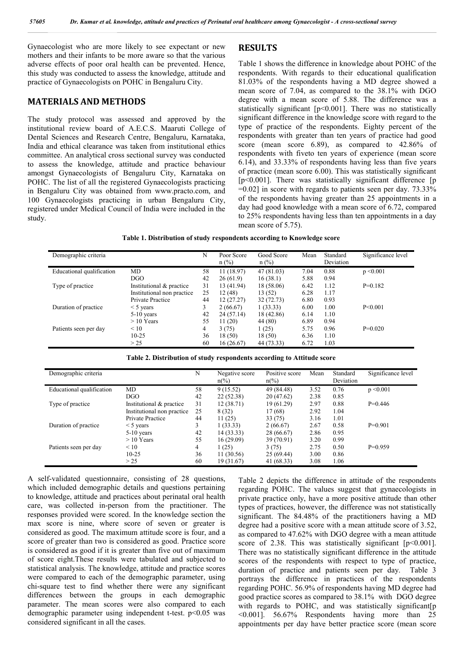**RESULTS** 

Gynaecologist who are more likely to see expectant or new mothers and their infants to be more aware so that the various adverse effects of poor oral health can be prevented. Hence, this study was conducted to assess the knowledge, attitude and practice of Gynaecologists on POHC in Bengaluru City.

#### **MATERIALS AND METHODS**

The study protocol was assessed and approved by the institutional review board of A.E.C.S. Maaruti College of Dental Sciences and Research Centre, Bengaluru, Karnataka, India and ethical clearance was taken from institutional ethics committee. An analytical cross sectional survey was conducted to assess the knowledge, attitude and practice behaviour amongst Gynaecologists of Bengaluru City, Karnataka on POHC. The list of all the registered Gynaecologists practicing in Bengaluru City was obtained from www.practo.com, and 100 Gynaecologists practicing in urban Bengaluru City, registered under Medical Council of India were included in the study.

Table 1 shows the difference in knowledge about POHC of the respondents. With regards to their educational qualification 81.03% of the respondents having a MD degree showed a mean score of 7.04, as compared to the 38.1% with DGO degree with a mean score of 5.88. The difference was a statistically significant [p<0.001]. There was no statistically significant difference in the knowledge score with regard to the type of practice of the respondents. Eighty percent of the respondents with greater than ten years of practice had good score (mean score 6.89), as compared to 42.86% of respondents with fiveto ten years of experience (mean score 6.14), and 33.33% of respondents having less than five years of practice (mean score 6.00). This was statistically significant [ $p$ <0.001]. There was statistically significant difference [ $p$ ]  $=0.02$ ] in score with regards to patients seen per day. 73.33% of the respondents having greater than 25 appointments in a day had good knowledge with a mean score of 6.72, compared to 25% respondents having less than ten appointments in a day mean score of 5.75).

|  |  |  |  | Table 1. Distribution of study respondents according to Knowledge score |
|--|--|--|--|-------------------------------------------------------------------------|
|--|--|--|--|-------------------------------------------------------------------------|

| Demographic criteria      |                            | N  | Poor Score<br>$n$ (%) | Good Score<br>$n$ (%) | Mean | Standard<br>Deviation | Significance level |
|---------------------------|----------------------------|----|-----------------------|-----------------------|------|-----------------------|--------------------|
| Educational qualification | MD.                        | 58 | 11(18.97)             | 47 (81.03)            | 7.04 | 0.88                  | $p \le 0.001$      |
|                           | DGO                        | 42 | 26(61.9)              | 16(38.1)              | 5.88 | 0.94                  |                    |
| Type of practice          | Institutional & practice   | 31 | 13 (41.94)            | 18 (58.06)            | 6.42 | 1.12                  | $P=0.182$          |
|                           | Institutional non practice | 25 | 12(48)                | 13(52)                | 6.28 | 1.17                  |                    |
|                           | Private Practice           | 44 | 12(27.27)             | 32 (72.73)            | 6.80 | 0.93                  |                    |
| Duration of practice      | $<$ 5 years                | 3  | 2(66.67)              | 1(33.33)              | 6.00 | 1.00                  | P < 0.001          |
|                           | $5-10$ years               | 42 | 24 (57.14)            | 18 (42.86)            | 6.14 | 1.10                  |                    |
|                           | $>10$ Years                | 55 | 11(20)                | 44 (80)               | 6.89 | 0.94                  |                    |
| Patients seen per day     | $\leq 10$                  | 4  | 3(75)                 | 1(25)                 | 5.75 | 0.96                  | $P=0.020$          |
|                           | $10 - 25$                  | 36 | 18(50)                | 18(50)                | 6.36 | 1.10                  |                    |
|                           | > 25                       | 60 | 16(26.67)             | 44 (73.33)            | 6.72 | 1.03                  |                    |

| Demographic criteria      |                            | N  | Negative score<br>$n\frac{\sqrt{6}}{2}$ | Positive score<br>$n\frac{\%}{\ }$ | Mean | Standard<br>Deviation | Significance level |
|---------------------------|----------------------------|----|-----------------------------------------|------------------------------------|------|-----------------------|--------------------|
| Educational qualification | MD                         | 58 | 9(15.52)                                | 49 (84.48)                         | 3.52 | 0.76                  | $p \le 0.001$      |
|                           | DGO                        | 42 | 22 (52.38)                              | 20(47.62)                          | 2.38 | 0.85                  |                    |
| Type of practice          | Institutional & practice   | 31 | 12(38.71)                               | 19(61.29)                          | 2.97 | 0.88                  | $P=0.446$          |
|                           | Institutional non practice | 25 | 8(32)                                   | 17(68)                             | 2.92 | 1.04                  |                    |
|                           | <b>Private Practice</b>    | 44 | 11(25)                                  | 33 (75)                            | 3.16 | 1.01                  |                    |
| Duration of practice      | $\leq$ 5 years             | 3  | 1(33.33)                                | 2(66.67)                           | 2.67 | 0.58                  | $P=0.901$          |
|                           | $5-10$ years               | 42 | 14 (33.33)                              | 28 (66.67)                         | 2.86 | 0.95                  |                    |
|                           | $>10$ Years                | 55 | 16(29.09)                               | 39 (70.91)                         | 3.20 | 0.99                  |                    |
| Patients seen per day     | $\leq 10$                  | 4  | 1(25)                                   | 3(75)                              | 2.75 | 0.50                  | $P=0.959$          |
|                           | $10-25$                    | 36 | 11 (30.56)                              | 25 (69.44)                         | 3.00 | 0.86                  |                    |
|                           | > 25                       | 60 | 19 (31.67)                              | 41 (68.33)                         | 3.08 | 1.06                  |                    |

#### **Table 2. Distribution of study respondents according to Attitude score**

A self-validated questionnaire, consisting of 28 questions, which included demographic details and questions pertaining to knowledge, attitude and practices about perinatal oral health care, was collected in-person from the practitioner. The responses provided were scored. In the knowledge section the max score is nine, where score of seven or greater is considered as good. The maximum attitude score is four, and a score of greater than two is considered as good. Practice score is considered as good if it is greater than five out of maximum of score eight.These results were tabulated and subjected to statistical analysis. The knowledge, attitude and practice scores were compared to each of the demographic parameter, using chi-square test to find whether there were any significant differences between the groups in each demographic parameter. The mean scores were also compared to each demographic parameter using independent t-test. p<0.05 was considered significant in all the cases.

Table 2 depicts the difference in attitude of the respondents regarding POHC. The values suggest that gynaecologists in private practice only, have a more positive attitude than other types of practices, however, the difference was not statistically significant. The 84.48% of the practitioners having a MD degree had a positive score with a mean attitude score of 3.52, as compared to 47.62% with DGO degree with a mean attitude score of 2.38. This was statistically significant [p<0.001]. There was no statistically significant difference in the attitude scores of the respondents with respect to type of practice, duration of practice and patients seen per day. Table 3 portrays the difference in practices of the respondents regarding POHC. 56.9% of respondents having MD degree had good practice scores as compared to 38.1% with DGO degree with regards to POHC, and was statistically significant [p <0.001]. 56.67% Respondents having more than 25 appointments per day have better practice score (mean score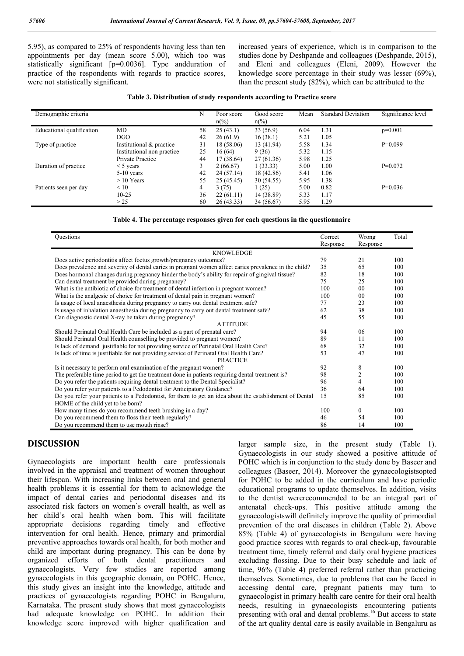5.95), as compared to 25% of respondents having less than ten appointments per day (mean score 5.00), which too was statistically significant [p=0.0036]. Type andduration of practice of the respondents with regards to practice scores, were not statistically significant.

increased years of experience, which is in comparison to the studies done by Deshpande and colleagues (Deshpande, 2015), and Eleni and colleagues (Eleni, 2009). However the knowledge score percentage in their study was lesser (69%), than the present study (82%), which can be attributed to the

| Demographic criteria      |                            | N  | Poor score<br>$n\frac{6}{6}$ | Good score<br>$n\frac{6}{6}$ | Mean | <b>Standard Deviation</b> | Significance level |
|---------------------------|----------------------------|----|------------------------------|------------------------------|------|---------------------------|--------------------|
| Educational qualification | MD                         | 58 | 25(43.1)                     | 33(56.9)                     | 6.04 | 1.31                      | $p=0.001$          |
|                           | <b>DGO</b>                 | 42 | 26(61.9)                     | 16(38.1)                     | 5.21 | 1.05                      |                    |
| Type of practice          | Institutional & practice   | 31 | 18 (58.06)                   | 13 (41.94)                   | 5.58 | 1.34                      | $P=0.099$          |
|                           | Institutional non practice | 25 | 16(64)                       | 9(36)                        | 5.32 | 1.15                      |                    |
|                           | Private Practice           | 44 | 17 (38.64)                   | 27 (61.36)                   | 5.98 | 1.25                      |                    |
| Duration of practice      | $<$ 5 years                | 3  | 2(66.67)                     | 1(33.33)                     | 5.00 | 1.00                      | $P=0.072$          |
|                           | $5-10$ years               | 42 | 24 (57.14)                   | 18 (42.86)                   | 5.41 | 1.06                      |                    |
|                           | $>10$ Years                | 55 | 25 (45.45)                   | 30 (54.55)                   | 5.95 | 1.38                      |                    |
| Patients seen per day     | $\leq 10$                  | 4  | 3(75)                        | 1(25)                        | 5.00 | 0.82                      | $P=0.036$          |
|                           | $10 - 25$                  | 36 | 22(61.11)                    | 14 (38.89)                   | 5.33 | 1.17                      |                    |
|                           | > 25                       | 60 | 26(43.33)                    | 34 (56.67)                   | 5.95 | 1.29                      |                    |

#### **Table 4. The percentage responses given for each questions in the questionnaire**

| Questions                                                                                              | Correct<br>Response | Wrong<br>Response | Total |  |  |  |  |  |
|--------------------------------------------------------------------------------------------------------|---------------------|-------------------|-------|--|--|--|--|--|
| <b>KNOWLEDGE</b>                                                                                       |                     |                   |       |  |  |  |  |  |
| Does active periodontitis affect foetus growth/pregnancy outcomes?                                     | 79                  | 21                | 100   |  |  |  |  |  |
| Does prevalence and severity of dental caries in pregnant women affect caries prevalence in the child? | 35                  | 65                | 100   |  |  |  |  |  |
| Does hormonal changes during pregnancy hinder the body's ability for repair of gingival tissue?        | 82                  | 18                | 100   |  |  |  |  |  |
| Can dental treatment be provided during pregnancy?                                                     | 75                  | 25                | 100   |  |  |  |  |  |
| What is the antibiotic of choice for treatment of dental infection in pregnant women?                  | 100                 | 0 <sub>0</sub>    | 100   |  |  |  |  |  |
| What is the analgesic of choice for treatment of dental pain in pregnant women?                        | 100                 | 0 <sub>0</sub>    | 100   |  |  |  |  |  |
| Is usage of local anaesthesia during pregnancy to carry out dental treatment safe?                     | 77                  | 23                | 100   |  |  |  |  |  |
| Is usage of inhalation anaesthesia during pregnancy to carry out dental treatment safe?                | 62                  | 38                | 100   |  |  |  |  |  |
| Can diagnostic dental X-ray be taken during pregnancy?                                                 | 45                  | 55                | 100   |  |  |  |  |  |
| <b>ATTITUDE</b>                                                                                        |                     |                   |       |  |  |  |  |  |
| Should Perinatal Oral Health Care be included as a part of prenatal care?                              | 94                  | 06                | 100   |  |  |  |  |  |
| Should Perinatal Oral Health counselling be provided to pregnant women?                                | 89                  | 11                | 100   |  |  |  |  |  |
| Is lack of demand justifiable for not providing service of Perinatal Oral Health Care?                 | 68                  | 32                | 100   |  |  |  |  |  |
| Is lack of time is justifiable for not providing service of Perinatal Oral Health Care?                | 53                  | 47                | 100   |  |  |  |  |  |
| <b>PRACTICE</b>                                                                                        |                     |                   |       |  |  |  |  |  |
| Is it necessary to perform oral examination of the pregnant women?                                     | 92                  | 8                 | 100   |  |  |  |  |  |
| The preferable time period to get the treatment done in patients requiring dental treatment is?        | 98                  | 2                 | 100   |  |  |  |  |  |
| Do you refer the patients requiring dental treatment to the Dental Specialist?                         | 96                  | 4                 | 100   |  |  |  |  |  |
| Do you refer your patients to a Pedodontist for Anticipatory Guidance?                                 | 36                  | 64                | 100   |  |  |  |  |  |
| Do you refer your patients to a Pedodontist, for them to get an idea about the establishment of Dental | 15                  | 85                | 100   |  |  |  |  |  |
| HOME of the child yet to be born?                                                                      |                     |                   |       |  |  |  |  |  |
| How many times do you recommend teeth brushing in a day?                                               | 100                 | $\theta$          | 100   |  |  |  |  |  |
| Do you recommend them to floss their teeth regularly?                                                  | 46                  | 54                | 100   |  |  |  |  |  |
| Do you recommend them to use mouth rinse?                                                              | 86                  | 14                | 100   |  |  |  |  |  |

### **DISCUSSION**

Gynaecologists are important health care professionals involved in the appraisal and treatment of women throughout their lifespan. With increasing links between oral and general health problems it is essential for them to acknowledge the impact of dental caries and periodontal diseases and its associated risk factors on women's overall health, as well as her child's oral health when born. This will facilitate appropriate decisions regarding timely and effective intervention for oral health. Hence, primary and primordial preventive approaches towards oral health, for both mother and child are important during pregnancy. This can be done by organized efforts of both dental practitioners and gynaecologists. Very few studies are reported among gynaecologists in this geographic domain, on POHC. Hence, this study gives an insight into the knowledge, attitude and practices of gynaecologists regarding POHC in Bengaluru, Karnataka. The present study shows that most gynaecologists had adequate knowledge on POHC. In addition their knowledge score improved with higher qualification and larger sample size, in the present study (Table 1). Gynaecologists in our study showed a positive attitude of POHC which is in conjunction to the study done by Baseer and colleagues (Baseer, 2014). Moreover the gynaecologistsopted for POHC to be added in the curriculum and have periodic educational programs to update themselves. In addition, visits to the dentist wererecommended to be an integral part of antenatal check-ups. This positive attitude among the gynaecologistswill definitely improve the quality of primordial prevention of the oral diseases in children (Table 2). Above 85% (Table 4) of gynaecologists in Bengaluru were having good practice scores with regards to oral check-up, favourable treatment time, timely referral and daily oral hygiene practices excluding flossing. Due to their busy schedule and lack of time, 96% (Table 4) preferred referral rather than practicing themselves. Sometimes, due to problems that can be faced in accessing dental care, pregnant patients may turn to gynaecologist in primary health care centre for their oral health needs, resulting in gynaecologists encountering patients presenting with oral and dental problems.<sup>16</sup> But access to state of the art quality dental care is easily available in Bengaluru as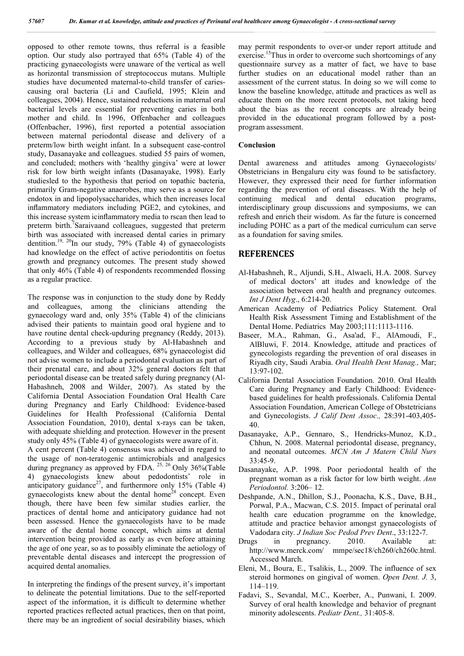opposed to other remote towns, thus referral is a feasible option. Our study also portrayed that 65% (Table 4) of the practicing gynaecologists were unaware of the vertical as well as horizontal transmission of streptococcus mutans. Multiple studies have documented maternal-to-child transfer of cariescausing oral bacteria (Li and Caufield, 1995; Klein and colleagues, 2004). Hence, sustained reductions in maternal oral bacterial levels are essential for preventing caries in both mother and child. In 1996, Offenbacher and colleagues (Offenbacher, 1996), first reported a potential association between maternal periodontal disease and delivery of a preterm/low birth weight infant. In a subsequent case-control study, Dasanayake and colleagues. studied 55 pairs of women, and concluded; mothers with 'healthy gingiva' were at lower risk for low birth weight infants (Dasanayake, 1998). Early studiesled to the hypothesis that period on topathic bacteria, primarily Gram-negative anaerobes, may serve as a source for endotox in and lipopolysaccharides, which then increases local inflammatory mediators including PGE2, and cytokines, and this increase system icinflammatory media to rscan then lead to preterm birth.<sup>7</sup>Saraivaand colleagues, suggested that preterm birth was associated with increased dental caries in primary dentition.<sup>19, 20</sup>In our study, 79% (Table 4) of gynaecologists had knowledge on the effect of active periodontitis on foetus growth and pregnancy outcomes. The present study showed that only 46% (Table 4) of respondents recommended flossing as a regular practice.

The response was in conjunction to the study done by Reddy and colleagues, among the clinicians attending the gynaecology ward and, only 35% (Table 4) of the clinicians advised their patients to maintain good oral hygiene and to have routine dental check-upduring pregnancy (Reddy, 2013). According to a previous study by Al-Habashneh and colleagues, and Wilder and colleagues, 68% gynaecologist did not advise women to include a periodontal evaluation as part of their prenatal care, and about 32% general doctors felt that periodontal disease can be treated safely during pregnancy (Al-Habashneh, 2008 and Wilder, 2007). As stated by the California Dental Association Foundation Oral Health Care during Pregnancy and Early Childhood: Evidence-based Guidelines for Health Professional (California Dental Association Foundation, 2010), dental x-rays can be taken, with adequate shielding and protection. However in the present study only 45% (Table 4) of gynaecologists were aware of it.

A cent percent (Table 4) consensus was achieved in regard to the usage of non-teratogenic antimicrobials and analgesics during pregnancy as approved by FDA.  $^{25, 26}$  Only 36% (Table 4) gynaecologists knew about pedodontists' role in anticipatory guidance<sup>27</sup>, and furthermore only 15% (Table 4) gynaecologists knew about the dental home<sup>28</sup> concept. Even though, there have been few similar studies earlier, the practices of dental home and anticipatory guidance had not been assessed. Hence the gynaecologists have to be made aware of the dental home concept, which aims at dental intervention being provided as early as even before attaining the age of one year, so as to possibly eliminate the aetiology of preventable dental diseases and intercept the progression of acquired dental anomalies.

In interpreting the findings of the present survey, it's important to delineate the potential limitations. Due to the self-reported aspect of the information, it is difficult to determine whether reported practices reflected actual practices, then on that point, there may be an ingredient of social desirability biases, which may permit respondents to over-or under report attitude and exercise.<sup>15</sup>Thus in order to overcome such shortcomings of any questionnaire survey as a matter of fact, we have to base further studies on an educational model rather than an assessment of the current status. In doing so we will come to know the baseline knowledge, attitude and practices as well as educate them on the more recent protocols, not taking heed about the bias as the recent concepts are already being provided in the educational program followed by a postprogram assessment.

#### **Conclusion**

Dental awareness and attitudes among Gynaecologists/ Obstetricians in Bengaluru city was found to be satisfactory. However, they expressed their need for further information regarding the prevention of oral diseases. With the help of continuing medical and dental education programs, interdisciplinary group discussions and symposiums, we can refresh and enrich their wisdom. As far the future is concerned including POHC as a part of the medical curriculum can serve as a foundation for saving smiles.

#### **REFERENCES**

- Al-Habashneh, R., Aljundi, S.H., Alwaeli, H.A. 2008. Survey of medical doctors' att itudes and knowledge of the association between oral health and pregnancy outcomes. *Int J Dent Hyg*., 6:214-20.
- American Academy of Pediatrics Policy Statement. Oral Health Risk Assessment Timing and Establishment of the Dental Home. Pediatrics May 2003;111:1113-1116.
- Baseer, M.A., Rahman, G., Asa'ad, F., AlAmoudi, F., AlBluwi, F. 2014. Knowledge, attitude and practices of gynecologists regarding the prevention of oral diseases in Riyadh city, Saudi Arabia. *Oral Health Dent Manag.,* Mar; 13:97-102.
- California Dental Association Foundation. 2010. Oral Health Care during Pregnancy and Early Childhood: Evidencebased guidelines for health professionals. California Dental Association Foundation, American College of Obstetricians and Gynecologists. *J Calif Dent Assoc.,* 28:391-403,405- 40.
- Dasanayake, A.P., Gennaro, S., Hendricks-Munoz, K.D., Chhun, N. 2008. Maternal periodontal disease, pregnancy, and neonatal outcomes. *MCN Am J Matern Child Nurs* 33:45-9.
- Dasanayake, A.P. 1998. Poor periodontal health of the pregnant woman as a risk factor for low birth weight. *Ann Periodontol.* 3:206– 12.
- Deshpande, A.N., Dhillon, S.J., Poonacha, K.S., Dave, B.H., Porwal, P.A., Macwan, C.S. 2015. Impact of perinatal oral health care education programme on the knowledge, attitude and practice behavior amongst gynaecologists of Vadodara city. *J Indian Soc Pedod Prev Dent*., 33:122-7.
- Drugs in pregnancy. 2010. Available at: http://www.merck.com/ mmpe/sec18/ch260/ch260c.html. Accessed March.
- Eleni, M., Boura, E., Tsalikis, L., 2009. The influence of sex steroid hormones on gingival of women. *Open Dent. J.* 3, 114–119.
- Fadavi, S., Sevandal, M.C., Koerber, A., Punwani, I. 2009. Survey of oral health knowledge and behavior of pregnant minority adolescents. *Pediatr Dent.,* 31:405-8.